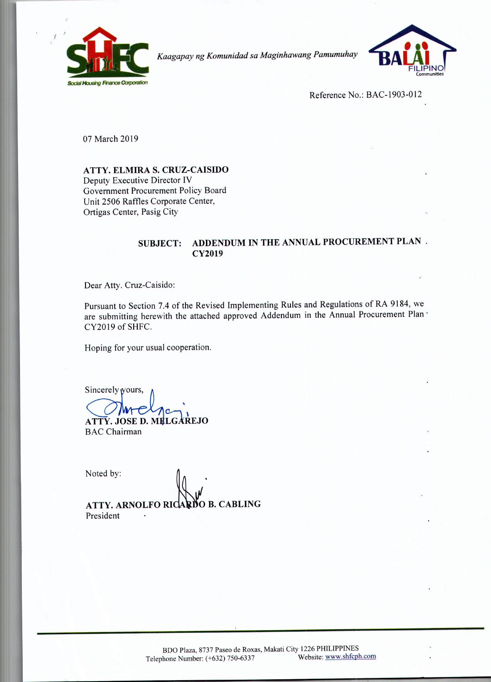

*Kaagapay ng Komunidad sa Maginhawang Pamumuhay*



Reference No.: BAC-1903-012

07 March 2019

**ATTY. ELMIRA S. CRUZ-CAISIDO**

Deputy Executive Director IV Government Procurement Policy Board Unit 2506 Raffles Corporate Center, Ortigas Center, Pasig City

## **SUBJECT: ADDENDUM IN THE ANNUAL PROCUREMENT PLAN . CY2019**

Dear Atty. Cruz-Caisido:

Pursuant to Section 7.4 of the Revised Implementing Rules and Regulations of RA 9184, we are submitting herewith the attached approved Addendum in the Annual Procurement Plan' CY2019 of SHFC.

Hoping for your usual cooperation.

Sincerely yours,

**ATTY. JOSE D. MELGAREJO** BAC Chairman

Noted by:

ATTY. ARNOLFO RICARDO B. CABLING President